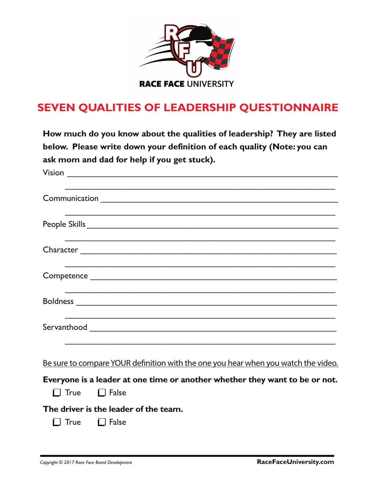

# **SEVEN QUALITIES OF LEADERSHIP QUESTIONNAIRE**

**How much do you know about the qualities of leadership? They are listed below. Please write down your definition of each quality (Note: you can ask mom and dad for help if you get stuck).**

| ,我们也不能在这里的人,我们也不能在这里的人,我们也不能在这里的人,我们也不能在这里的人,我们也不能在这里的人,我们也不能在这里的人,我们也不能在这里的人,我们也                                                                                                             |
|-----------------------------------------------------------------------------------------------------------------------------------------------------------------------------------------------|
|                                                                                                                                                                                               |
|                                                                                                                                                                                               |
|                                                                                                                                                                                               |
|                                                                                                                                                                                               |
|                                                                                                                                                                                               |
| Be sure to compare YOUR definition with the one you hear when you watch the video.<br>Everyone is a leader at one time or another whether they want to be or not.<br>$\Box$ True $\Box$ False |
| The driver is the leader of the team.                                                                                                                                                         |

 $\Box$  True  $\Box$  False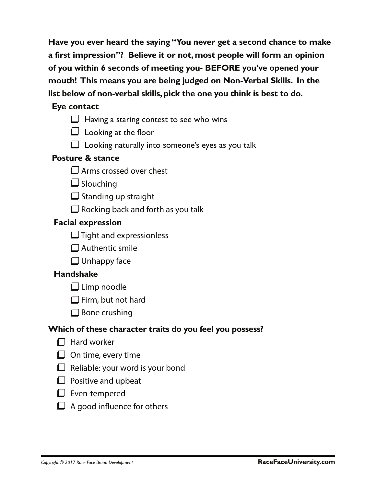**Have you ever heard the saying "You never get a second chance to make a first impression"? Believe it or not, most people will form an opinion of you within 6 seconds of meeting you- BEFORE you've opened your mouth! This means you are being judged on Non-Verbal Skills. In the list below of non-verbal skills, pick the one you think is best to do.** 

#### **Eye contact**

- $\Box$  Having a staring contest to see who wins
- $\Box$  Looking at the floor
- $\Box$  Looking naturally into someone's eyes as you talk

#### **Posture & stance**

- **L** Arms crossed over chest
- $\square$  Slouching
- $\square$  Standing up straight
- $\square$  Rocking back and forth as you talk

## **Facial expression**

- $\Box$  Tight and expressionless
- $\Box$  Authentic smile
- $\Box$  Unhappy face

## **Handshake**

- $\Box$  Limp noodle
- $\square$  Firm, but not hard
- $\square$  Bone crushing

## **Which of these character traits do you feel you possess?**

- $\Box$  Hard worker
- $\Box$  On time, every time
- $\Box$  Reliable: your word is your bond
- $\Box$  Positive and upbeat
- $\square$  Even-tempered
- $\Box$  A good influence for others